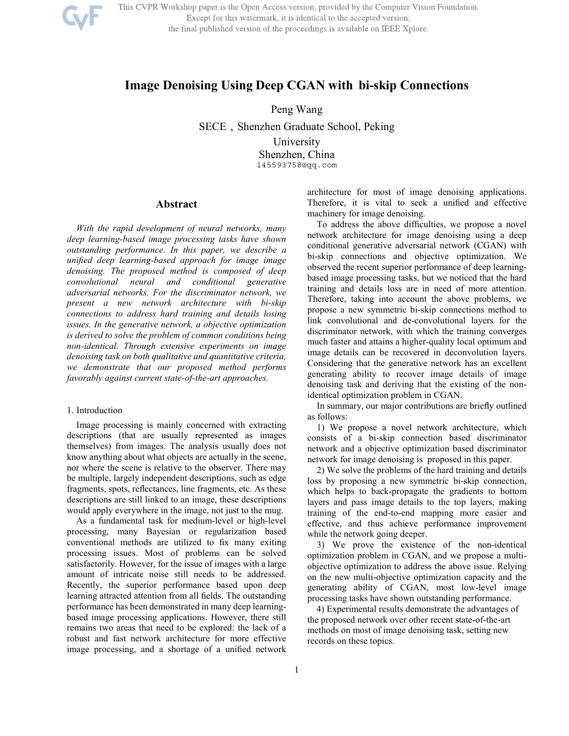

This CVPR Workshop paper is the Open Access version, provided by the Computer Vision Foundation. Except for this watermark, it is identical to the accepted version; the final published version of the proceedings is available on IEEE Xplore.

# **Image Denoising Using Deep CGAN with bi-skip Connections**

Peng Wang

SECE, Shenzhen Graduate School, Peking University Shenzhen, China 145593758@qq.com

# **Abstract**

*With the rapid development of neural networks, many deep learning-based image processing tasks have shown outstanding performance. In this paper, we describe a unified deep learning-based approach for image image denoising. The proposed method is composed of deep convolutional neural and conditional generative adversarial networks. For the discriminator network, we present a new network architecture with bi-skip connections to address hard training and details losing issues. In the generative network, a objective optimization is derived to solve the problem of common conditions being non-identical. Through extensive experiments on image denoising task on both qualitative and quantitative criteria, we demonstrate that our proposed method performs favorably against current state-of-the-art approaches.* 

### 1. Introduction

Image processing is mainly concerned with extracting descriptions (that are usually represented as images themselves) from images. The analysis usually does not know anything about what objects are actually in the scene, nor where the scene is relative to the observer. There may be multiple, largely independent descriptions, such as edge fragments, spots, reflectances, line fragments, etc. As these descriptions are still linked to an image, these descriptions would apply everywhere in the image, not just to the mug.

As a fundamental task for medium-level or high-level processing, many Bayesian or regularization based conventional methods are utilized to fix many exiting processing issues. Most of problems can be solved satisfactorily. However, for the issue of images with a large amount of intricate noise still needs to be addressed. Recently, the superior performance based upon deep learning attracted attention from all fields. The outstanding performance has been demonstrated in many deep learningbased image processing applications. However, there still remains two areas that need to be explored: the lack of a robust and fast network architecture for more effective image processing, and a shortage of a unified network

architecture for most of image denoising applications. Therefore, it is vital to seek a unified and effective machinery for image denoising.

To address the above difficulties, we propose a novel network architecture for image denoising using a deep conditional generative adversarial network (CGAN) with bi-skip connections and objective optimization. We observed the recent superior performance of deep learningbased image processing tasks, but we noticed that the hard training and details loss are in need of more attention. Therefore, taking into account the above problems, we propose a new symmetric bi-skip connections method to link convolutional and de-convolutional layers for the discriminator network, with which the training converges much faster and attains a higher-quality local optimum and image details can be recovered in deconvolution layers. Considering that the generative network has an excellent generating ability to recover image details of image denoising task and deriving that the existing of the nonidentical optimization problem in CGAN.

In summary, our major contributions are briefly outlined as follows:

1) We propose a novel network architecture, which consists of a bi-skip connection based discriminator network and a objective optimization based discriminator network for image denoising is proposed in this paper.

2) We solve the problems of the hard training and details loss by proposing a new symmetric bi-skip connection, which helps to back-propagate the gradients to bottom layers and pass image details to the top layers, making training of the end-to-end mapping more easier and effective, and thus achieve performance improvement while the network going deeper.

3) We prove the existence of the non-identical optimization problem in CGAN, and we propose a multiobjective optimization to address the above issue. Relying on the new multi-objective optimization capacity and the generating ability of CGAN, most low-level image processing tasks have shown outstanding performance.

4) Experimental results demonstrate the advantages of the proposed network over other recent state-of-the-art methods on most of image denoising task, setting new records on these topics.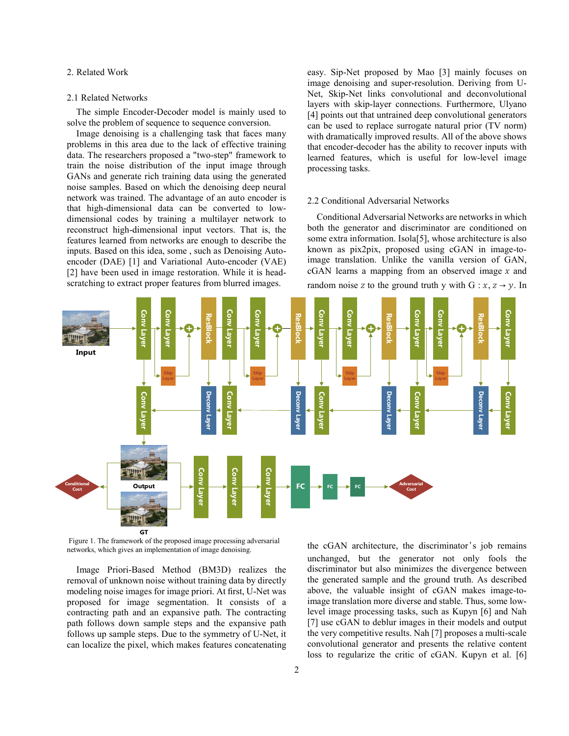## 2. Related Work

#### 2.1 Related Networks

The simple Encoder-Decoder model is mainly used to solve the problem of sequence to sequence conversion.

Image denoising is a challenging task that faces many problems in this area due to the lack of effective training data. The researchers proposed a "two-step" framework to train the noise distribution of the input image through GANs and generate rich training data using the generated noise samples. Based on which the denoising deep neural network was trained. The advantage of an auto encoder is that high-dimensional data can be converted to lowdimensional codes by training a multilayer network to reconstruct high-dimensional input vectors. That is, the features learned from networks are enough to describe the inputs. Based on this idea, some , such as Denoising Autoencoder (DAE) [1] and Variational Auto-encoder (VAE) [2] have been used in image restoration. While it is headscratching to extract proper features from blurred images.

easy. Sip-Net proposed by Mao [3] mainly focuses on image denoising and super-resolution. Deriving from U-Net, Skip-Net links convolutional and deconvolutional layers with skip-layer connections. Furthermore, Ulyano [4] points out that untrained deep convolutional generators can be used to replace surrogate natural prior (TV norm) with dramatically improved results. All of the above shows that encoder-decoder has the ability to recover inputs with learned features, which is useful for low-level image processing tasks.

#### 2.2 Conditional Adversarial Networks

Conditional Adversarial Networks are networks in which both the generator and discriminator are conditioned on some extra information. Isola[5], whose architecture is also known as pix2pix, proposed using cGAN in image-toimage translation. Unlike the vanilla version of GAN,  $cGAN$  learns a mapping from an observed image  $x$  and random noise z to the ground truth y with  $G: x, z \rightarrow y$ . In



 Figure 1. The framework of the proposed image processing adversarial networks, which gives an implementation of image denoising.

Image Priori-Based Method (BM3D) realizes the removal of unknown noise without training data by directly modeling noise images for image priori. At first, U-Net was proposed for image segmentation. It consists of a contracting path and an expansive path. The contracting path follows down sample steps and the expansive path follows up sample steps. Due to the symmetry of U-Net, it can localize the pixel, which makes features concatenating the cGAN architecture, the discriminator's job remains unchanged, but the generator not only fools the discriminator but also minimizes the divergence between the generated sample and the ground truth. As described above, the valuable insight of cGAN makes image-toimage translation more diverse and stable. Thus, some lowlevel image processing tasks, such as Kupyn [6] and Nah [7] use cGAN to deblur images in their models and output the very competitive results. Nah [7] proposes a multi-scale convolutional generator and presents the relative content loss to regularize the critic of cGAN. Kupyn et al. [6]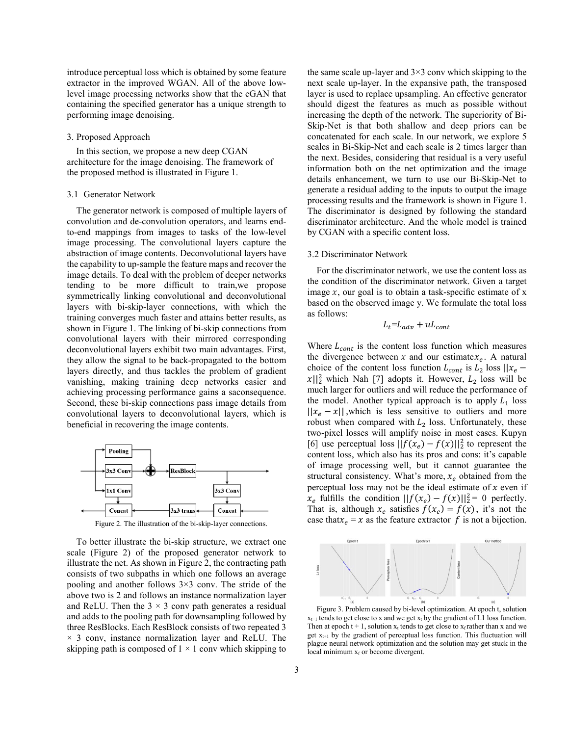introduce perceptual loss which is obtained by some feature extractor in the improved WGAN. All of the above lowlevel image processing networks show that the cGAN that containing the specified generator has a unique strength to performing image denoising.

### 3. Proposed Approach

In this section, we propose a new deep CGAN architecture for the image denoising. The framework of the proposed method is illustrated in Figure 1.

#### 3.1 Generator Network

The generator network is composed of multiple layers of convolution and de-convolution operators, and learns endto-end mappings from images to tasks of the low-level image processing. The convolutional layers capture the abstraction of image contents. Deconvolutional layers have the capability to up-sample the feature maps and recover the image details. To deal with the problem of deeper networks tending to be more difficult to train,we propose symmetrically linking convolutional and deconvolutional layers with bi-skip-layer connections, with which the training converges much faster and attains better results, as shown in Figure 1. The linking of bi-skip connections from convolutional layers with their mirrored corresponding deconvolutional layers exhibit two main advantages. First, they allow the signal to be back-propagated to the bottom layers directly, and thus tackles the problem of gradient vanishing, making training deep networks easier and achieving processing performance gains a saconsequence. Second, these bi-skip connections pass image details from convolutional layers to deconvolutional layers, which is beneficial in recovering the image contents.



Figure 2. The illustration of the bi-skip-layer connections.

To better illustrate the bi-skip structure, we extract one scale (Figure 2) of the proposed generator network to illustrate the net. As shown in Figure 2, the contracting path consists of two subpaths in which one follows an average pooling and another follows  $3\times3$  conv. The stride of the above two is 2 and follows an instance normalization layer and ReLU. Then the  $3 \times 3$  conv path generates a residual and adds to the pooling path for downsampling followed by three ResBlocks. Each ResBlock consists of two repeated 3  $\times$  3 conv, instance normalization layer and ReLU. The skipping path is composed of  $1 \times 1$  conv which skipping to the same scale up-layer and  $3\times 3$  conv which skipping to the next scale up-layer. In the expansive path, the transposed layer is used to replace upsampling. An effective generator should digest the features as much as possible without increasing the depth of the network. The superiority of Bi-Skip-Net is that both shallow and deep priors can be concatenated for each scale. In our network, we explore 5 scales in Bi-Skip-Net and each scale is 2 times larger than the next. Besides, considering that residual is a very useful information both on the net optimization and the image details enhancement, we turn to use our Bi-Skip-Net to generate a residual adding to the inputs to output the image processing results and the framework is shown in Figure 1. The discriminator is designed by following the standard discriminator architecture. And the whole model is trained by CGAN with a specific content loss.

#### 3.2 Discriminator Network

For the discriminator network, we use the content loss as the condition of the discriminator network. Given a target image  $x$ , our goal is to obtain a task-specific estimate of  $x$ based on the observed image y. We formulate the total loss as follows:

$$
L_t = L_{adv} + uL_{cont}
$$

Where  $L_{cont}$  is the content loss function which measures the divergence between x and our estimate  $x_e$ . A natural choice of the content loss function  $L_{cont}$  is  $L_2$  loss  $||x_e ||x||_2^2$  which Nah [7] adopts it. However,  $L_2$  loss will be much larger for outliers and will reduce the performance of the model. Another typical approach is to apply  $L_1$  loss  $||x_e - x||$ , which is less sensitive to outliers and more robust when compared with  $L_2$  loss. Unfortunately, these two-pixel losses will amplify noise in most cases. Kupyn [6] use perceptual loss  $||f(x_e) - f(x)||_2^2$  to represent the content loss, which also has its pros and cons: it's capable of image processing well, but it cannot guarantee the structural consistency. What's more,  $x_e$  obtained from the perceptual loss may not be the ideal estimate of  $x$  even if  $x_e$  fulfills the condition  $||f(x_e) - f(x)||_2^2 = 0$  perfectly. That is, although  $x_e$  satisfies  $f(x_e) = f(x)$ , it's not the case that  $x_e = x$  as the feature extractor  $f$  is not a bijection.



Figure 3. Problem caused by bi-level optimization. At epoch t, solution  $x_{t-1}$  tends to get close to x and we get  $x_t$  by the gradient of L1 loss function. Then at epoch  $t + 1$ , solution  $x_t$  tends to get close to  $x_f$  rather than x and we get  $x_{t+1}$  by the gradient of perceptual loss function. This fluctuation will plague neural network optimization and the solution may get stuck in the local minimum  $x_f$  or become divergent.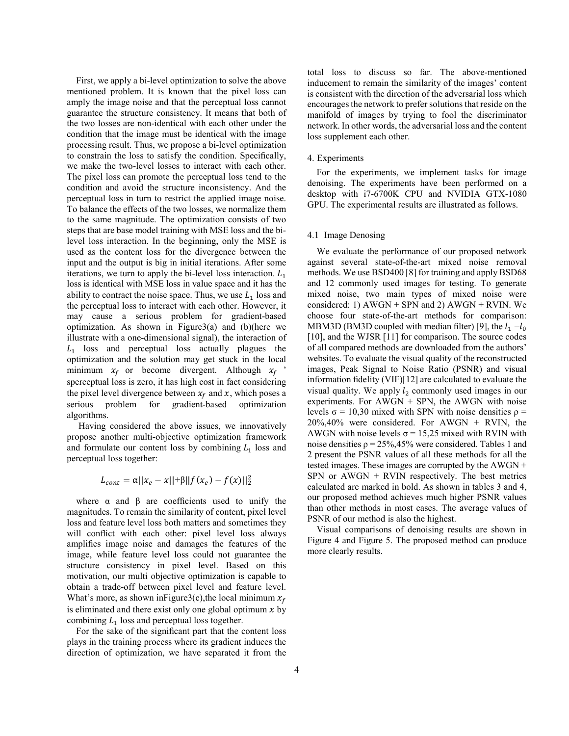First, we apply a bi-level optimization to solve the above mentioned problem. It is known that the pixel loss can amply the image noise and that the perceptual loss cannot guarantee the structure consistency. It means that both of the two losses are non-identical with each other under the condition that the image must be identical with the image processing result. Thus, we propose a bi-level optimization to constrain the loss to satisfy the condition. Specifically, we make the two-level losses to interact with each other. The pixel loss can promote the perceptual loss tend to the condition and avoid the structure inconsistency. And the perceptual loss in turn to restrict the applied image noise. To balance the effects of the two losses, we normalize them to the same magnitude. The optimization consists of two steps that are base model training with MSE loss and the bilevel loss interaction. In the beginning, only the MSE is used as the content loss for the divergence between the input and the output is big in initial iterations. After some iterations, we turn to apply the bi-level loss interaction.  $L_1$ loss is identical with MSE loss in value space and it has the ability to contract the noise space. Thus, we use  $L_1$  loss and the perceptual loss to interact with each other. However, it may cause a serious problem for gradient-based optimization. As shown in Figure3(a) and  $(b)$ (here we illustrate with a one-dimensional signal), the interaction of  $L_1$  loss and perceptual loss actually plagues the optimization and the solution may get stuck in the local minimum  $x_f$  or become divergent. Although  $x_f$ sperceptual loss is zero, it has high cost in fact considering the pixel level divergence between  $x_f$  and x, which poses a<br>serious problem for gradient-based optimization gradient-based optimization algorithms.

 Having considered the above issues, we innovatively propose another multi-objective optimization framework and formulate our content loss by combining  $L_1$  loss and perceptual loss together:

$$
L_{cont} = \alpha ||x_e - x|| + \beta ||f(x_e) - f(x)||_2^2
$$

where  $\alpha$  and  $\beta$  are coefficients used to unify the magnitudes. To remain the similarity of content, pixel level loss and feature level loss both matters and sometimes they will conflict with each other: pixel level loss always amplifies image noise and damages the features of the image, while feature level loss could not guarantee the structure consistency in pixel level. Based on this motivation, our multi objective optimization is capable to obtain a trade-off between pixel level and feature level. What's more, as shown in Figure3(c), the local minimum  $x_f$ is eliminated and there exist only one global optimum  $x$  by combining  $L_1$  loss and perceptual loss together.

For the sake of the significant part that the content loss plays in the training process where its gradient induces the direction of optimization, we have separated it from the total loss to discuss so far. The above-mentioned inducement to remain the similarity of the images' content is consistent with the direction of the adversarial loss which encourages the network to prefer solutions that reside on the manifold of images by trying to fool the discriminator network. In other words, the adversarial loss and the content loss supplement each other.

#### 4. Experiments

For the experiments, we implement tasks for image denoising. The experiments have been performed on a desktop with i7-6700K CPU and NVIDIA GTX-1080 GPU. The experimental results are illustrated as follows.

## 4.1 Image Denosing

We evaluate the performance of our proposed network against several state-of-the-art mixed noise removal methods. We use BSD400 [8] for training and apply BSD68 and 12 commonly used images for testing. To generate mixed noise, two main types of mixed noise were considered: 1)  $AWGN + SPN$  and 2)  $AWGN + RVIN$ . We choose four state-of-the-art methods for comparison: MBM3D (BM3D coupled with median filter) [9], the  $l_1 - l_0$ [10], and the WJSR [11] for comparison. The source codes of all compared methods are downloaded from the authors' websites. To evaluate the visual quality of the reconstructed images, Peak Signal to Noise Ratio (PSNR) and visual information fidelity (VIF)[12] are calculated to evaluate the visual quality. We apply  $l_2$  commonly used images in our experiments. For  $AWGN + SPN$ , the AWGN with noise levels  $\sigma$  = 10,30 mixed with SPN with noise densities  $ρ$  =  $20\%, 40\%$  were considered. For AWGN + RVIN, the AWGN with noise levels  $\sigma$  = 15,25 mixed with RVIN with noise densities  $\rho = 25\%, 45\%$  were considered. Tables 1 and 2 present the PSNR values of all these methods for all the tested images. These images are corrupted by the AWGN +  $SPN$  or  $AWGN + RVIN$  respectively. The best metrics calculated are marked in bold. As shown in tables 3 and 4, our proposed method achieves much higher PSNR values than other methods in most cases. The average values of PSNR of our method is also the highest.

Visual comparisons of denoising results are shown in Figure 4 and Figure 5. The proposed method can produce more clearly results.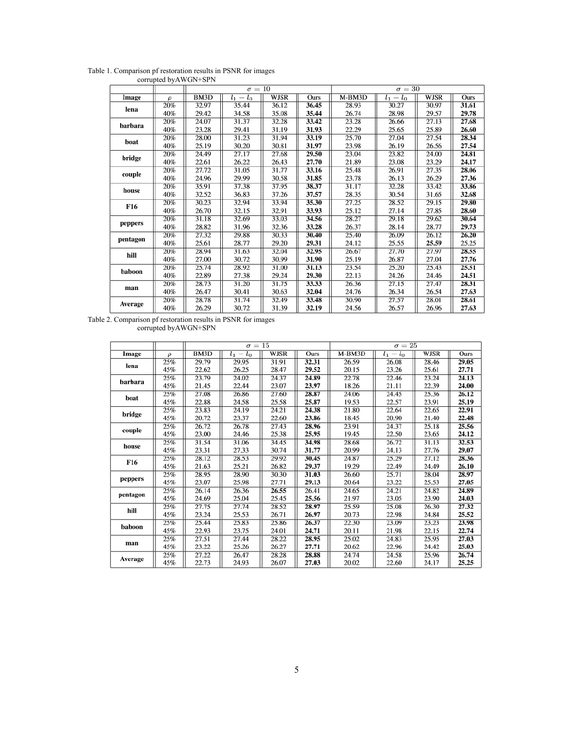|          |        | $\sigma = 10$     |             |             |       | $\sigma = 30$ |             |             |       |
|----------|--------|-------------------|-------------|-------------|-------|---------------|-------------|-------------|-------|
| Image    | $\rho$ | BM <sub>3</sub> D | $l_1 - l_0$ | <b>WJSR</b> | Ours  | $M-BM3D$      | $l_1 - l_0$ | <b>WJSR</b> | Ours  |
| lena     | 20%    | 32.97             | 35.44       | 36.12       | 36.45 | 28.93         | 30.27       | 30.97       | 31.61 |
|          | 40%    | 29.42             | 34.58       | 35.08       | 35.44 | 26.74         | 28.98       | 29.57       | 29.78 |
| barbara  | 20%    | 24.07             | 31.37       | 32.28       | 33.42 | 23.28         | 26.66       | 27.13       | 27.68 |
|          | 40%    | 23.28             | 29.41       | 31.19       | 31.93 | 22.29         | 25.65       | 25.89       | 26.60 |
| boat     | 20%    | 28.00             | 31.23       | 31.94       | 33.19 | 25.70         | 27.04       | 27.54       | 28.34 |
|          | 40%    | 25.19             | 30.20       | 30.81       | 31.97 | 23.98         | 26.19       | 26.56       | 27.54 |
| bridge   | 20%    | 24.49             | 27.17       | 27.68       | 29.50 | 23.04         | 23.82       | 24.00       | 24.81 |
|          | 40%    | 22.61             | 26.22       | 26.43       | 27.70 | 21.89         | 23.08       | 23.29       | 24.17 |
| couple   | 20%    | 27.72             | 31.05       | 31.77       | 33.16 | 25.48         | 26.91       | 27.35       | 28.06 |
|          | 40%    | 24.96             | 29.99       | 30.58       | 31.85 | 23.78         | 26.13       | 26.29       | 27.36 |
| house    | 20%    | 35.91             | 37.38       | 37.95       | 38.37 | 31.17         | 32.28       | 33.42       | 33.86 |
|          | 40%    | 32.52             | 36.83       | 37.26       | 37.57 | 28.35         | 30.54       | 31.65       | 32.68 |
| F16      | 20%    | 30.23             | 32.94       | 33.94       | 35.30 | 27.25         | 28.52       | 29.15       | 29.80 |
|          | 40%    | 26.70             | 32.15       | 32.91       | 33.93 | 25.12         | 27.14       | 27.85       | 28.60 |
| peppers  | 20%    | 31.18             | 32.69       | 33.03       | 34.56 | 28.27         | 29.18       | 29.62       | 30.64 |
|          | 40%    | 28.82             | 31.96       | 32.36       | 33.28 | 26.37         | 28.14       | 28.77       | 29.73 |
| pentagon | 20%    | 27.32             | 29.88       | 30.33       | 30.40 | 25.40         | 26.09       | 26.12       | 26.20 |
|          | 40%    | 25.61             | 28.77       | 29.20       | 29.31 | 24.12         | 25.55       | 25.59       | 25.25 |
| hill     | 20%    | 28.94             | 31.63       | 32.04       | 32.95 | 26.67         | 27.70       | 27.97       | 28.55 |
|          | 40%    | 27.00             | 30.72       | 30.99       | 31.90 | 25.19         | 26.87       | 27.04       | 27.76 |
| baboon   | 20%    | 25.74             | 28.92       | 31.00       | 31.13 | 23.54         | 25.20       | 25.43       | 25.51 |
|          | 40%    | 22.89             | 27.38       | 29.24       | 29.30 | 22.13         | 24.26       | 24.46       | 24.51 |
| man      | 20%    | 28.73             | 31.20       | 31.75       | 33.33 | 26.36         | 27.15       | 27.47       | 28.31 |
|          | 40%    | 26.47             | 30.41       | 30.63       | 32.04 | 24.76         | 26.34       | 26.54       | 27.63 |
| Average  | 20%    | 28.78             | 31.74       | 32.49       | 33.48 | 30.90         | 27.57       | 28.01       | 28.61 |
|          | 40%    | 26.29             | 30.72       | 31.39       | 32.19 | 24.56         | 26.57       | 26.96       | 27.63 |

Table 1. Comparison pf restoration results in PSNR for images corrupted byAWGN+SPN

Table 2. Comparison pf restoration results in PSNR for images corrupted byAWGN+SPN

|          |        | $\sigma = 15$            |             |             |       | $\sigma = 25$ |             |             |       |
|----------|--------|--------------------------|-------------|-------------|-------|---------------|-------------|-------------|-------|
| Image    | $\rho$ | $\overline{\text{BM3D}}$ | $l_1 - l_0$ | <b>WJSR</b> | Ours  | $M-BM3D$      | $l_1 - l_0$ | <b>WJSR</b> | Ours  |
| lena     | 25%    | 29.79                    | 29.95       | 31.91       | 32.31 | 26.59         | 26.08       | 28.46       | 29.05 |
|          | 45%    | 22.62                    | 26.25       | 28.47       | 29.52 | 20.15         | 23.26       | 25.61       | 27.71 |
| barbara  | 25%    | 23.79                    | 24.02       | 24.37       | 24.89 | 22.78         | 22.46       | 23.24       | 24.13 |
|          | 45%    | 21.45                    | 22.44       | 23.07       | 23.97 | 18.26         | 21.11       | 22.39       | 24.00 |
| boat     | 25%    | 27.08                    | 26.86       | 27.60       | 28.87 | 24.06         | 24.45       | 25.36       | 26.12 |
|          | 45%    | 22.88                    | 24.58       | 25.58       | 25.87 | 19.53         | 22.57       | 23.91       | 25.19 |
| bridge   | 25%    | 23.83                    | 24.19       | 24.21       | 24.38 | 21.80         | 22.64       | 22.65       | 22.91 |
|          | 45%    | 20.72                    | 23.37       | 22.60       | 23.86 | 18.45         | 20.90       | 21.40       | 22.48 |
| couple   | 25%    | 26.72                    | 26.78       | 27.43       | 28.96 | 23.91         | 24.37       | 25.18       | 25.56 |
|          | 45%    | 23.00                    | 24.46       | 25.38       | 25.95 | 19.45         | 22.50       | 23.65       | 24.12 |
| house    | 25%    | 31.54                    | 31.06       | 34.45       | 34.98 | 28.68         | 26.72       | 31.13       | 32.53 |
|          | 45%    | 23.31                    | 27.33       | 30.74       | 31.77 | 20.99         | 24.13       | 27.76       | 29.07 |
| F16      | 25%    | 28.12                    | 28.53       | 29.92       | 30.45 | 24.87         | 25.29       | 27.12       | 28.36 |
|          | 45%    | 21.63                    | 25.21       | 26.82       | 29.37 | 19.29         | 22.49       | 24.49       | 26.10 |
| peppers  | 25%    | 28.95                    | 28.90       | 30.30       | 31.03 | 26.60         | 25.71       | 28.04       | 28.97 |
|          | 45%    | 23.07                    | 25.98       | 27.71       | 29.13 | 20.64         | 23.22       | 25.53       | 27.05 |
| pentagon | 25%    | 26.14                    | 26.36       | 26.55       | 26.41 | 24.65         | 24.21       | 24.82       | 24.89 |
|          | 45%    | 24.69                    | 25.04       | 25.45       | 25.56 | 21.97         | 23.05       | 23.90       | 24.03 |
| hill     | 25%    | 27.75                    | 27.74       | 28.52       | 28.97 | 25.59         | 25.08       | 26.30       | 27.32 |
|          | 45%    | 23.24                    | 25.53       | 26.71       | 26.97 | 20.73         | 22.98       | 24.84       | 25.52 |
| baboon   | 25%    | 25.44                    | 25.83       | 25.86       | 26.37 | 22.30         | 23.09       | 23.23       | 23.98 |
|          | 45%    | 22.93                    | 23.75       | 24.01       | 24.71 | 20.11         | 21.98       | 22.15       | 22.74 |
| man      | 25%    | 27.51                    | 27.44       | 28.22       | 28.95 | 25.02         | 24.83       | 25.95       | 27.03 |
|          | 45%    | 23.22                    | 25.26       | 26.27       | 27.71 | 20.62         | 22.96       | 24.42       | 25.03 |
| Average  | 25%    | 27.22                    | 26.47       | 28.28       | 28.88 | 24.74         | 24.58       | 25.96       | 26.74 |
|          | 45%    | 22.73                    | 24.93       | 26.07       | 27.03 | 20.02         | 22.60       | 24.17       | 25.25 |